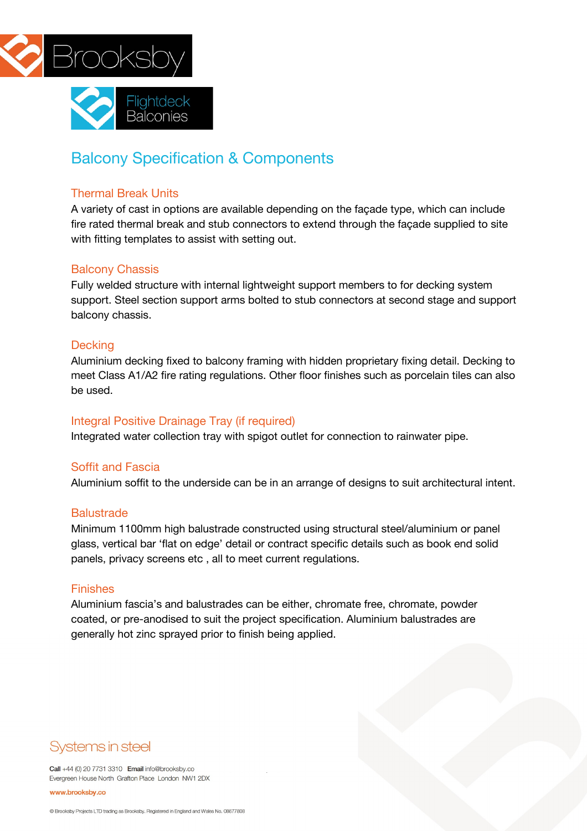



# Balcony Specification & Components

#### Thermal Break Units

A variety of cast in options are available depending on the façade type, which can include fire rated thermal break and stub connectors to extend through the façade supplied to site with fitting templates to assist with setting out.

#### Balcony Chassis

Fully welded structure with internal lightweight support members to for decking system support. Steel section support arms bolted to stub connectors at second stage and support balcony chassis.

#### **Decking**

Aluminium decking fixed to balcony framing with hidden proprietary fixing detail. Decking to meet Class A1/A2 fire rating regulations. Other floor finishes such as porcelain tiles can also be used.

#### Integral Positive Drainage Tray (if required)

Integrated water collection tray with spigot outlet for connection to rainwater pipe.

#### Soffit and Fascia

Aluminium soffit to the underside can be in an arrange of designs to suit architectural intent.

#### **Balustrade**

Minimum 1100mm high balustrade constructed using structural steel/aluminium or panel glass, vertical bar 'flat on edge' detail or contract specific details such as book end solid panels, privacy screens etc , all to meet current regulations.

#### Finishes

Aluminium fascia's and balustrades can be either, chromate free, chromate, powder coated, or pre-anodised to suit the project specification. Aluminium balustrades are generally hot zinc sprayed prior to finish being applied.

# Systems in steel

Call +44 (0) 20 7731 3310 Email info@brooksby.co Evergreen House North Grafton Place London NW1 2DX

#### www.brooksby.co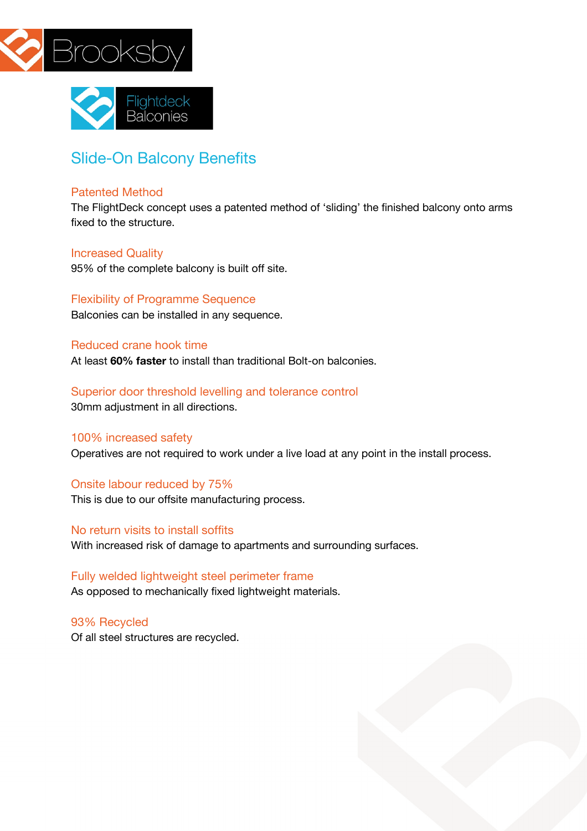



# Slide-On Balcony Benefits

#### Patented Method

The FlightDeck concept uses a patented method of 'sliding' the finished balcony onto arms fixed to the structure.

#### Increased Quality

95% of the complete balcony is built off site.

Flexibility of Programme Sequence Balconies can be installed in any sequence.

#### Reduced crane hook time

At least **60% faster** to install than traditional Bolt-on balconies.

## Superior door threshold levelling and tolerance control

30mm adjustment in all directions.

#### 100% increased safety

Operatives are not required to work under a live load at any point in the install process.

#### Onsite labour reduced by 75%

This is due to our offsite manufacturing process.

### No return visits to install soffits

With increased risk of damage to apartments and surrounding surfaces.

### Fully welded lightweight steel perimeter frame As opposed to mechanically fixed lightweight materials.

93% Recycled Of all steel structures are recycled.

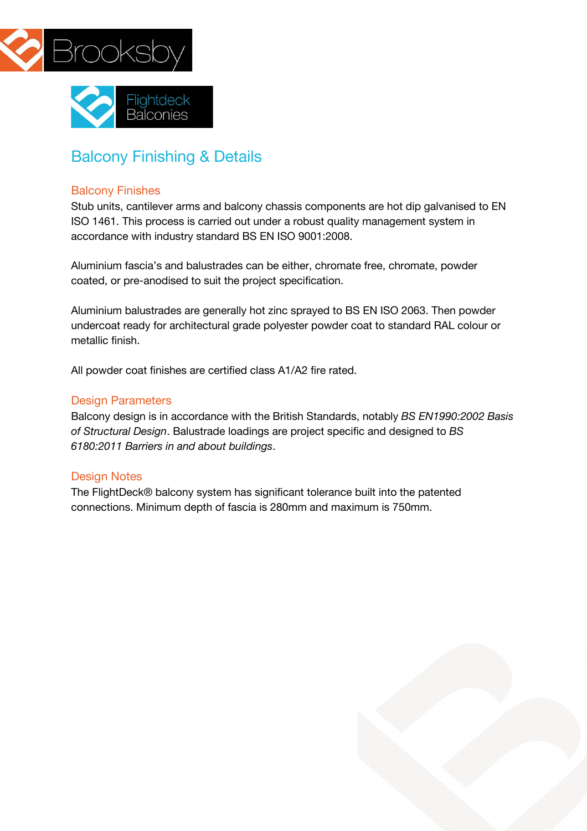



# Balcony Finishing & Details

#### Balcony Finishes

Stub units, cantilever arms and balcony chassis components are hot dip galvanised to EN ISO 1461. This process is carried out under a robust quality management system in accordance with industry standard BS EN ISO 9001:2008.

Aluminium fascia's and balustrades can be either, chromate free, chromate, powder coated, or pre-anodised to suit the project specification.

Aluminium balustrades are generally hot zinc sprayed to BS EN ISO 2063. Then powder undercoat ready for architectural grade polyester powder coat to standard RAL colour or metallic finish.

All powder coat finishes are certified class A1/A2 fire rated.

### Design Parameters

Balcony design is in accordance with the British Standards, notably *BS EN1990:2002 Basis of Structural Design*. Balustrade loadings are project specific and designed to *BS 6180:2011 Barriers in and about buildings*.

#### Design Notes

The FlightDeck® balcony system has significant tolerance built into the patented connections. Minimum depth of fascia is 280mm and maximum is 750mm.